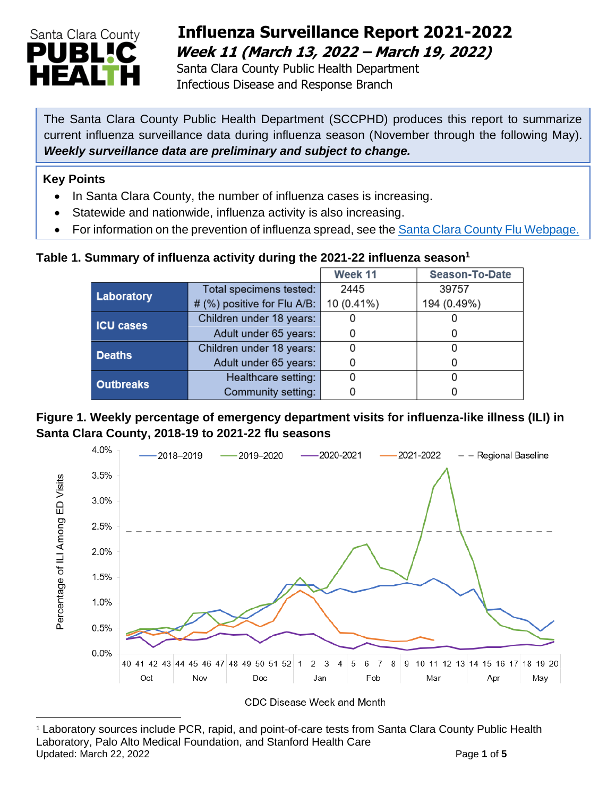

## **Influenza Surveillance Report 2021-2022 Week 11 (March 13, 2022 – March 19, 2022)**

 Santa Clara County Public Health Department Infectious Disease and Response Branch

The Santa Clara County Public Health Department (SCCPHD) produces this report to summarize current influenza surveillance data during influenza season (November through the following May). *Weekly surveillance data are preliminary and subject to change.*

#### **Key Points**

- In Santa Clara County, the number of influenza cases is increasing.
- Statewide and nationwide, influenza activity is also increasing.
- For information on the prevention of influenza spread, see the [Santa Clara County Flu Webpage.](https://publichealth.sccgov.org/disease-information/influenza-flu)

#### **Table 1. Summary of influenza activity during the 2021-22 influenza season<sup>1</sup>**

|                  |                             | Week 11    | <b>Season-To-Date</b> |
|------------------|-----------------------------|------------|-----------------------|
| Laboratory       | Total specimens tested:     | 2445       | 39757                 |
|                  | # (%) positive for Flu A/B: | 10 (0.41%) | 194 (0.49%)           |
| <b>ICU cases</b> | Children under 18 years:    |            |                       |
|                  | Adult under 65 years:       |            |                       |
| <b>Deaths</b>    | Children under 18 years:    |            |                       |
|                  | Adult under 65 years:       |            |                       |
| <b>Outbreaks</b> | Healthcare setting:         |            |                       |
|                  | Community setting:          |            |                       |

#### **Figure 1. Weekly percentage of emergency department visits for influenza-like illness (ILI) in Santa Clara County, 2018-19 to 2021-22 flu seasons**



<sup>1</sup> Laboratory sources include PCR, rapid, and point-of-care tests from Santa Clara County Public Health Laboratory, Palo Alto Medical Foundation, and Stanford Health Care Updated: March 22, 2022 **Page 1** of **5**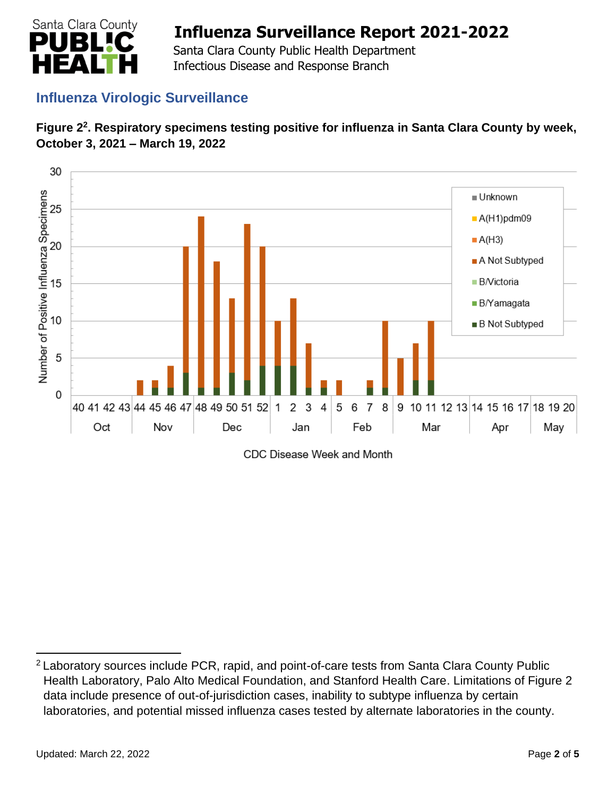

 Santa Clara County Public Health Department Infectious Disease and Response Branch

## **Influenza Virologic Surveillance**





CDC Disease Week and Month

<sup>&</sup>lt;sup>2</sup> Laboratory sources include PCR, rapid, and point-of-care tests from Santa Clara County Public Health Laboratory, Palo Alto Medical Foundation, and Stanford Health Care. Limitations of Figure 2 data include presence of out-of-jurisdiction cases, inability to subtype influenza by certain laboratories, and potential missed influenza cases tested by alternate laboratories in the county.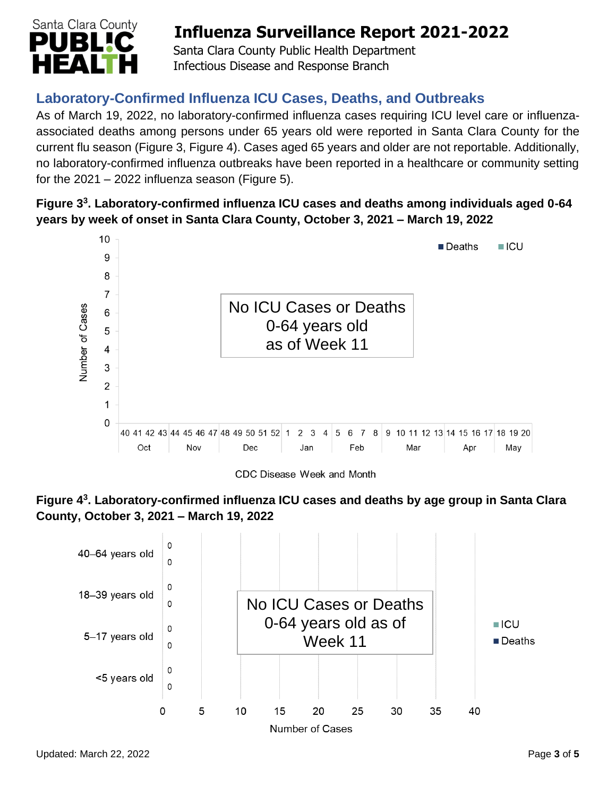

 Santa Clara County Public Health Department Infectious Disease and Response Branch

## **Laboratory-Confirmed Influenza ICU Cases, Deaths, and Outbreaks**

As of March 19, 2022, no laboratory-confirmed influenza cases requiring ICU level care or influenzaassociated deaths among persons under 65 years old were reported in Santa Clara County for the current flu season (Figure 3, Figure 4). Cases aged 65 years and older are not reportable. Additionally, no laboratory-confirmed influenza outbreaks have been reported in a healthcare or community setting for the  $2021 - 2022$  influenza season (Figure 5).

### **Figure 3 3 . Laboratory-confirmed influenza ICU cases and deaths among individuals aged 0-64 years by week of onset in Santa Clara County, October 3, 2021 – March 19, 2022**



CDC Disease Week and Month



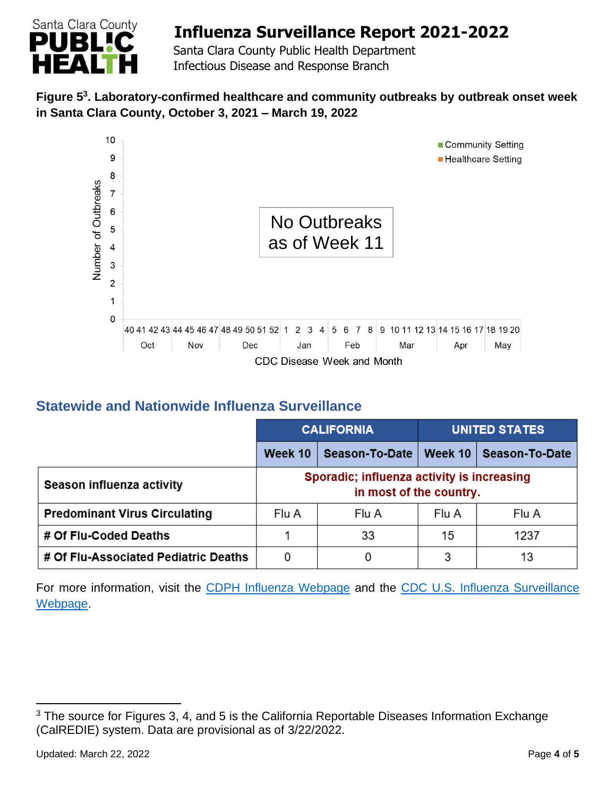

 Santa Clara County Public Health Department Infectious Disease and Response Branch

### **Figure 5 3 . Laboratory-confirmed healthcare and community outbreaks by outbreak onset week in Santa Clara County, October 3, 2021 – March 19, 2022**



## **Statewide and Nationwide Influenza Surveillance**

|                                      | <b>CALIFORNIA</b> |                                                                       | <b>UNITED STATES</b> |                |
|--------------------------------------|-------------------|-----------------------------------------------------------------------|----------------------|----------------|
|                                      | Week 10           | Season-To-Date                                                        | Week 10              | Season-To-Date |
| Season influenza activity            |                   | Sporadic; influenza activity is increasing<br>in most of the country. |                      |                |
| <b>Predominant Virus Circulating</b> | Flu A             | Flu A                                                                 | Flu A                | Flu A          |
| # Of Flu-Coded Deaths                |                   | 33                                                                    | 15                   | 1237           |
| # Of Flu-Associated Pediatric Deaths | 0                 |                                                                       | 3                    | 13             |

For more information, visit the [CDPH Influenza Webpage](http://www.cdph.ca.gov/Programs/CID/DCDC/Pages/Immunization/Influenza.aspx) and the [CDC U.S. Influenza Surveillance](http://www.cdc.gov/flu/weekly/)  [Webpage.](http://www.cdc.gov/flu/weekly/)

<sup>&</sup>lt;sup>3</sup> The source for Figures 3, 4, and 5 is the California Reportable Diseases Information Exchange (CalREDIE) system. Data are provisional as of 3/22/2022.